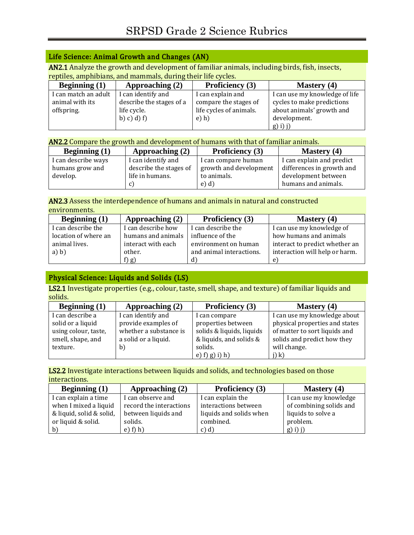## Life Science: Animal Growth and Changes (AN)

AN2.1 Analyze the growth and development of familiar animals, including birds, fish, insects, reptiles, amphibians, and mammals, during their life cycles.

| Beginning $(1)$      | Approaching $(2)$        | <b>Proficiency</b> (3)  | Mastery (4)                    |
|----------------------|--------------------------|-------------------------|--------------------------------|
| I can match an adult | I can identify and       | I can explain and       | I can use my knowledge of life |
| animal with its      | describe the stages of a | compare the stages of   | cycles to make predictions     |
| offspring.           | life cycle.              | life cycles of animals. | about animals' growth and      |
|                      | (b) c) d) f              | $e)$ h)                 | development.                   |
|                      |                          |                         | $(g)$ i) j)                    |

| <b>AN2.2</b> Compare the growth and development of humans with that of familiar animals. |                        |                        |                           |  |
|------------------------------------------------------------------------------------------|------------------------|------------------------|---------------------------|--|
| Beginning $(1)$                                                                          | Approaching $(2)$      | <b>Proficiency</b> (3) | Mastery $(4)$             |  |
| I can describe ways                                                                      | I can identify and     | I can compare human    | I can explain and predict |  |
| humans grow and                                                                          | describe the stages of | growth and development | differences in growth and |  |
| develop.                                                                                 | life in humans.        | to animals.            | development between       |  |
|                                                                                          |                        | e) d)                  | humans and animals.       |  |

#### AN2.3 Assess the interdependence of humans and animals in natural and constructed environments.

| Beginning $(1)$      | Approaching $(2)$  | <b>Proficiency</b> (3)   | <b>Mastery</b> (4)             |
|----------------------|--------------------|--------------------------|--------------------------------|
| I can describe the   | I can describe how | I can describe the       | I can use my knowledge of      |
| location of where an | humans and animals | influence of the         | how humans and animals         |
| animal lives.        | interact with each | environment on human     | interact to predict whether an |
| a) b)                | other.             | and animal interactions. | interaction will help or harm. |
|                      | f) $g$ )           | $\mathbf{d}$             | e                              |

# Physical Science: Liquids and Solids (LS)

LS2.1 Investigate properties (e.g., colour, taste, smell, shape, and texture) of familiar liquids and solids.

| Beginning $(1)$      | Approaching (2)        | <b>Proficiency</b> (3)    | <b>Mastery</b> (4)             |
|----------------------|------------------------|---------------------------|--------------------------------|
| I can describe a     | I can identify and     | I can compare             | I can use my knowledge about   |
| solid or a liquid    | provide examples of    | properties between        | physical properties and states |
| using colour, taste, | whether a substance is | solids & liquids, liquids | of matter to sort liquids and  |
| smell, shape, and    | a solid or a liquid.   | & liquids, and solids &   | solids and predict how they    |
| texture.             | b)                     | solids.                   | will change.                   |
|                      |                        | e) f) g) i) h)            | j) k)                          |

LS2.2 Investigate interactions between liquids and solids, and technologies based on those interactions.

| Beginning $(1)$          | Approaching $(2)$       | <b>Proficiency</b> (3)  | <b>Mastery</b> (4)      |
|--------------------------|-------------------------|-------------------------|-------------------------|
| I can explain a time     | I can observe and       | I can explain the       | I can use my knowledge  |
| when I mixed a liquid    | record the interactions | interactions between    | of combining solids and |
| & liquid, solid & solid, | between liquids and     | liquids and solids when | liquids to solve a      |
| or liquid & solid.       | solids.                 | combined.               | problem.                |
| $\mathbf{b}$             | e) f(h)                 | c) d)                   | $g(i)$ j)               |